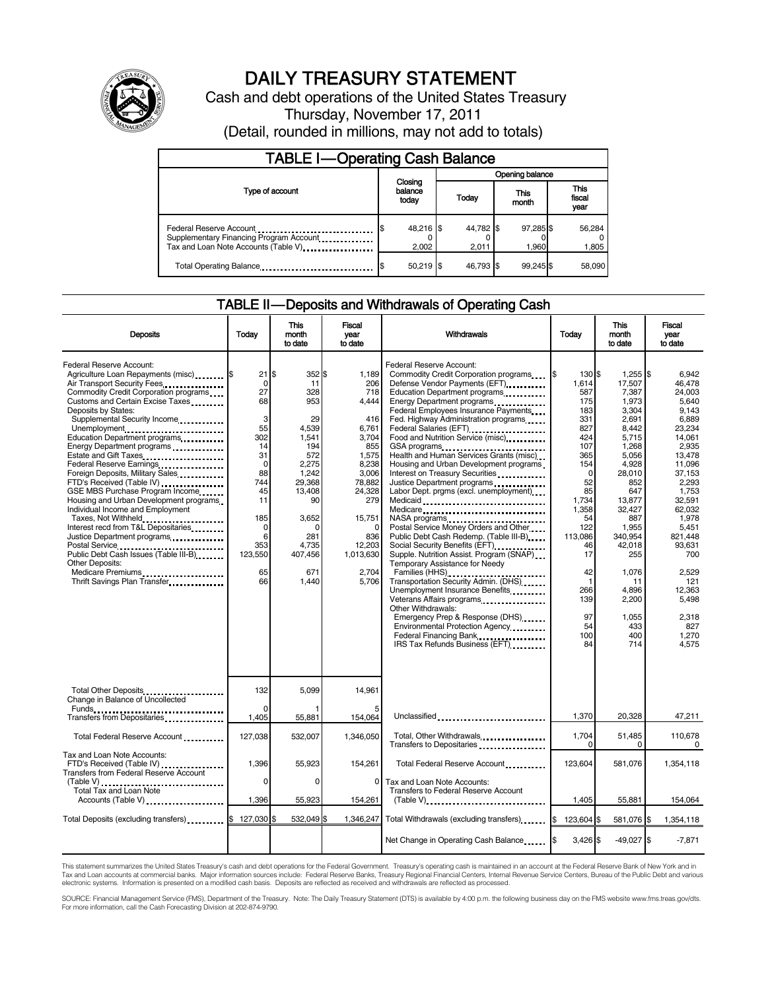

# DAILY TREASURY STATEMENT

Cash and debt operations of the United States Treasury Thursday, November 17, 2011 (Detail, rounded in millions, may not add to totals)

| <b>TABLE I-Operating Cash Balance</b>                                                                                                                      |                             |                    |                    |                               |  |  |
|------------------------------------------------------------------------------------------------------------------------------------------------------------|-----------------------------|--------------------|--------------------|-------------------------------|--|--|
|                                                                                                                                                            |                             | Opening balance    |                    |                               |  |  |
| Type of account                                                                                                                                            | Closing<br>balance<br>today | Today              | This<br>month      | <b>This</b><br>fiscal<br>year |  |  |
| Federal Reserve Account<br>Supplementary Financing Program Account<br><br>Tax and Loan Note Accounts (Table V) <b>Tax</b> and Loan Note Accounts (Table V) | 48,216 \$<br>2,002          | 44,782 \$<br>2,011 | 97,285 \$<br>1.960 | 56,284<br>1,805               |  |  |
| Total Operating Balance                                                                                                                                    | $50,219$ \$                 | 46.793 \$          | 99.245             | 58,090                        |  |  |

### TABLE II — Deposits and Withdrawals of Operating Cash

| <b>Deposits</b>                                                                                                                                                                                                                                                                                                                                                                                                                                                                                                                                                                                                                                                                                                                                                                                                                  | Today                                                                                                                                                     | This<br>month<br>to date                                                                                                                                                     | Fiscal<br>vear<br>to date                                                                                                                                                                | Withdrawals                                                                                                                                                                                                                                                                                                                                                                                                                                                                                                                                                                                                                                                                                                                                                                                                                                                                                                                                                                                                                                                                                                                                                                                                                          | <b>This</b><br>Today<br>month<br>to date                                                                                                                                                                                  |                                                                                                                                                                                                                                                             | Fiscal<br>year<br>to date                                                                                                                                                                                                                                                |
|----------------------------------------------------------------------------------------------------------------------------------------------------------------------------------------------------------------------------------------------------------------------------------------------------------------------------------------------------------------------------------------------------------------------------------------------------------------------------------------------------------------------------------------------------------------------------------------------------------------------------------------------------------------------------------------------------------------------------------------------------------------------------------------------------------------------------------|-----------------------------------------------------------------------------------------------------------------------------------------------------------|------------------------------------------------------------------------------------------------------------------------------------------------------------------------------|------------------------------------------------------------------------------------------------------------------------------------------------------------------------------------------|--------------------------------------------------------------------------------------------------------------------------------------------------------------------------------------------------------------------------------------------------------------------------------------------------------------------------------------------------------------------------------------------------------------------------------------------------------------------------------------------------------------------------------------------------------------------------------------------------------------------------------------------------------------------------------------------------------------------------------------------------------------------------------------------------------------------------------------------------------------------------------------------------------------------------------------------------------------------------------------------------------------------------------------------------------------------------------------------------------------------------------------------------------------------------------------------------------------------------------------|---------------------------------------------------------------------------------------------------------------------------------------------------------------------------------------------------------------------------|-------------------------------------------------------------------------------------------------------------------------------------------------------------------------------------------------------------------------------------------------------------|--------------------------------------------------------------------------------------------------------------------------------------------------------------------------------------------------------------------------------------------------------------------------|
| Federal Reserve Account:<br>Agriculture Loan Repayments (misc) \$<br>Air Transport Security Fees<br>Commodity Credit Corporation programs<br>Customs and Certain Excise Taxes<br>Deposits by States:<br>Supplemental Security Income<br>Unemployment<br>Education Department programs<br>Energy Department programs<br>Estate and Gift Taxes<br>Federal Reserve Earnings<br>Foreign Deposits, Military Sales<br>FTD's Received (Table IV)<br>GSE MBS Purchase Program Income<br>Housing and Urban Development programs<br>Individual Income and Employment<br>Taxes, Not Withheld<br>Interest recd from T&L Depositaries<br>Justice Department programs<br>Postal Service<br>Public Debt Cash Issues (Table III-B)<br>The Library of Table III-B)<br><b>Other Deposits:</b><br>Medicare Premiums<br>Thrift Savings Plan Transfer | 21<br>$\Omega$<br>27<br>68<br>3<br>55<br>302<br>14<br>31<br>$\mathbf 0$<br>88<br>744<br>45<br>11<br>185<br>$\mathbf 0$<br>6<br>353<br>123,550<br>65<br>66 | 352 \$<br>\$.<br>11<br>328<br>953<br>29<br>4.539<br>1.541<br>194<br>572<br>2,275<br>1,242<br>29.368<br>13,408<br>90<br>3,652<br>0<br>281<br>4.735<br>407,456<br>671<br>1,440 | 1.189<br>206<br>718<br>4,444<br>416<br>6.761<br>3.704<br>855<br>1,575<br>8,238<br>3,006<br>78.882<br>24,328<br>279<br>15,751<br>$\Omega$<br>836<br>12,203<br>1,013,630<br>2,704<br>5.706 | Federal Reserve Account:<br>Commodity Credit Corporation programs<br>Defense Vendor Payments (EFT)<br>Education Department programs<br>Energy Department programs<br><br>Federal Employees Insurance Payments<br>Fed. Highway Administration programs<br>Federal Salaries (EFT)<br>1999 - The Marine Salaries (EFT)<br>1999 - The Marian Salaries (EFT)<br>1999 - The Marian Salaries (EFT)<br>Food and Nutrition Service (misc)<br>GSA programs<br><br>Health and Human Services Grants (misc)<br>Housing and Urban Development programs<br>Interest on Treasury Securities<br>Justice Department programs<br>Labor Dept. prgms (excl. unemployment)<br>Medicaid<br>Medicare<br>NASA programs<br>Postal Service Money Orders and Other<br>Public Debt Cash Redemp. (Table III-B)<br>Social Security Benefits (EFT)<br>1991 - The Management Security Benefits (EFT)<br>Supple. Nutrition Assist. Program (SNAP)<br>Temporary Assistance for Needy<br>Families (HHS)<br>Transportation Security Admin. (DHS)<br>Unemployment Insurance Benefits<br>Veterans Affairs programs<br>Other Withdrawals:<br>Emergency Prep & Response (DHS)<br>Environmental Protection Agency<br>Federal Financing Bank<br>IRS Tax Refunds Business (EFT) | 130 \$<br>I\$<br>1,614<br>587<br>175<br>183<br>331<br>827<br>424<br>107<br>365<br>154<br>0<br>52<br>85<br>1.734<br>1,358<br>54<br>122<br>113,086<br>46<br>17<br>42<br>$\mathbf{1}$<br>266<br>139<br>97<br>54<br>100<br>84 | $1.255$ S<br>17.507<br>7,387<br>1,973<br>3,304<br>2.691<br>8.442<br>5.715<br>1.268<br>5.056<br>4,928<br>28,010<br>852<br>647<br>13.877<br>32,427<br>887<br>1,955<br>340.954<br>42.018<br>255<br>1,076<br>11<br>4,896<br>2,200<br>1.055<br>433<br>400<br>714 | 6.942<br>46.478<br>24,003<br>5,640<br>9.143<br>6.889<br>23.234<br>14.061<br>2.935<br>13,478<br>11.096<br>37.153<br>2.293<br>1.753<br>32.591<br>62.032<br>1.978<br>5,451<br>821.448<br>93.631<br>700<br>2,529<br>121<br>12.363<br>5,498<br>2,318<br>827<br>1,270<br>4,575 |
| Total Other Deposits<br>Change in Balance of Uncollected                                                                                                                                                                                                                                                                                                                                                                                                                                                                                                                                                                                                                                                                                                                                                                         | 132                                                                                                                                                       | 5.099                                                                                                                                                                        | 14.961                                                                                                                                                                                   |                                                                                                                                                                                                                                                                                                                                                                                                                                                                                                                                                                                                                                                                                                                                                                                                                                                                                                                                                                                                                                                                                                                                                                                                                                      |                                                                                                                                                                                                                           |                                                                                                                                                                                                                                                             |                                                                                                                                                                                                                                                                          |
| Transfers from Depositaries                                                                                                                                                                                                                                                                                                                                                                                                                                                                                                                                                                                                                                                                                                                                                                                                      | $\Omega$<br>1,405                                                                                                                                         | 55,881                                                                                                                                                                       | 154,064                                                                                                                                                                                  | Unclassified                                                                                                                                                                                                                                                                                                                                                                                                                                                                                                                                                                                                                                                                                                                                                                                                                                                                                                                                                                                                                                                                                                                                                                                                                         | 1,370                                                                                                                                                                                                                     | 20,328                                                                                                                                                                                                                                                      | 47,211                                                                                                                                                                                                                                                                   |
| Total Federal Reserve Account                                                                                                                                                                                                                                                                                                                                                                                                                                                                                                                                                                                                                                                                                                                                                                                                    | 127,038                                                                                                                                                   | 532,007                                                                                                                                                                      | 1,346,050                                                                                                                                                                                | Total, Other Withdrawals<br>Transfers to Depositaries                                                                                                                                                                                                                                                                                                                                                                                                                                                                                                                                                                                                                                                                                                                                                                                                                                                                                                                                                                                                                                                                                                                                                                                | 1,704<br>$\Omega$                                                                                                                                                                                                         | 51,485<br>$\Omega$                                                                                                                                                                                                                                          | 110.678<br>$\Omega$                                                                                                                                                                                                                                                      |
| Tax and Loan Note Accounts:<br>FTD's Received (Table IV)<br><b>Transfers from Federal Reserve Account</b>                                                                                                                                                                                                                                                                                                                                                                                                                                                                                                                                                                                                                                                                                                                        | 1,396                                                                                                                                                     | 55.923                                                                                                                                                                       | 154,261                                                                                                                                                                                  | Total Federal Reserve Account                                                                                                                                                                                                                                                                                                                                                                                                                                                                                                                                                                                                                                                                                                                                                                                                                                                                                                                                                                                                                                                                                                                                                                                                        | 123.604                                                                                                                                                                                                                   | 581.076                                                                                                                                                                                                                                                     | 1,354,118                                                                                                                                                                                                                                                                |
| (Table V)<br>Total Tax and Loan Note<br>Accounts (Table V)                                                                                                                                                                                                                                                                                                                                                                                                                                                                                                                                                                                                                                                                                                                                                                       | 0<br>1,396                                                                                                                                                | $\Omega$<br>55,923                                                                                                                                                           | 0<br>154,261                                                                                                                                                                             | Tax and Loan Note Accounts:<br>Transfers to Federal Reserve Account<br>$(Table V)$                                                                                                                                                                                                                                                                                                                                                                                                                                                                                                                                                                                                                                                                                                                                                                                                                                                                                                                                                                                                                                                                                                                                                   | 1,405                                                                                                                                                                                                                     | 55,881                                                                                                                                                                                                                                                      | 154,064                                                                                                                                                                                                                                                                  |
| Total Deposits (excluding transfers) <b>S</b>                                                                                                                                                                                                                                                                                                                                                                                                                                                                                                                                                                                                                                                                                                                                                                                    | 127,030 \$                                                                                                                                                | 532,049 \$                                                                                                                                                                   |                                                                                                                                                                                          | 1,346,247 Total Withdrawals (excluding transfers)                                                                                                                                                                                                                                                                                                                                                                                                                                                                                                                                                                                                                                                                                                                                                                                                                                                                                                                                                                                                                                                                                                                                                                                    | 123.604 \$<br>I\$                                                                                                                                                                                                         | 581.076 \$                                                                                                                                                                                                                                                  | 1.354.118                                                                                                                                                                                                                                                                |
|                                                                                                                                                                                                                                                                                                                                                                                                                                                                                                                                                                                                                                                                                                                                                                                                                                  |                                                                                                                                                           |                                                                                                                                                                              |                                                                                                                                                                                          | Net Change in Operating Cash Balance                                                                                                                                                                                                                                                                                                                                                                                                                                                                                                                                                                                                                                                                                                                                                                                                                                                                                                                                                                                                                                                                                                                                                                                                 | $3,426$ \$                                                                                                                                                                                                                | $-49,027$ \$                                                                                                                                                                                                                                                | $-7,871$                                                                                                                                                                                                                                                                 |

This statement summarizes the United States Treasury's cash and debt operations for the Federal Government. Treasury's operating cash is maintained in an account at the Federal Reserve Bank of New York and in<br>Tax and Loan

SOURCE: Financial Management Service (FMS), Department of the Treasury. Note: The Daily Treasury Statement (DTS) is available by 4:00 p.m. the following business day on the FMS website www.fms.treas.gov/dts.<br>For more infor